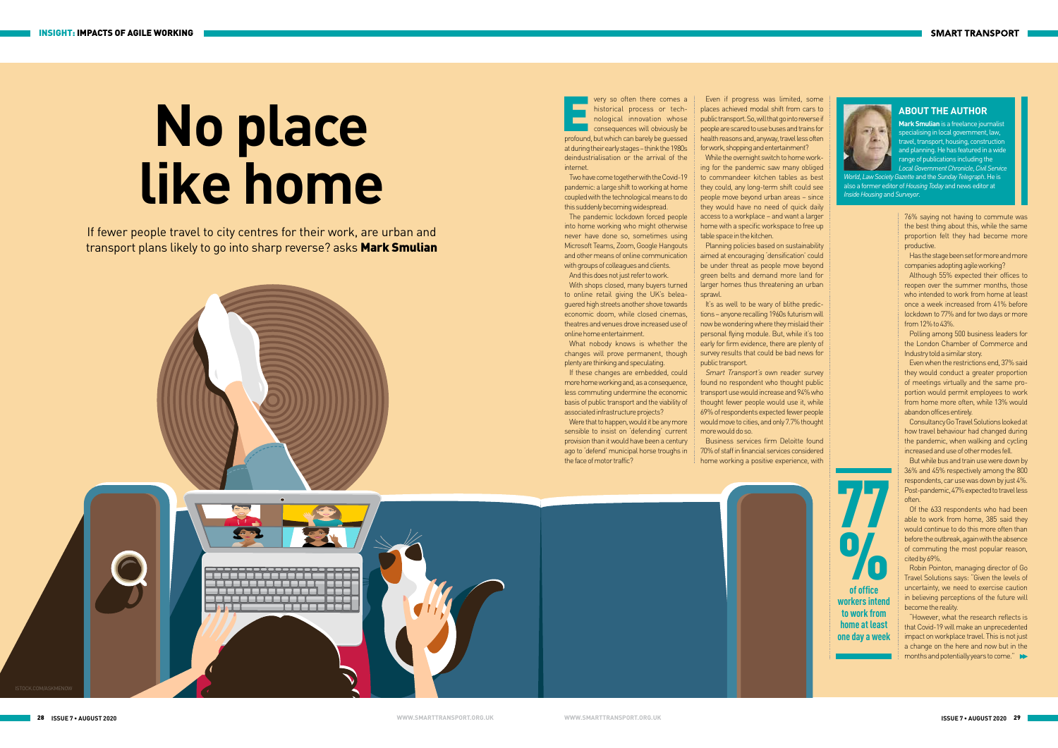28 29 **ISSUE 7 • AUGUST 2020 ISSUE 7 • AUGUST 2020 WWW.SMARTTRANSPORT.ORG.UK WWW.SMARTTRANSPORT.ORG.UK**



## **No place like home**

**of office workers intend to work from home at least one day a week**

 $\overline{\mathbf{O}}_0$ 

77

very so often there comes a<br>historical process or tech-<br>nological innovation whose<br>consequences will obviously be<br>profound but which can barely be quessed historical process or technological innovation whose consequences will obviously be profound, but which can barely be guessed at during their early stages – think the 1980s deindustrialisation or the arrival of the internet.

Two have come together with the Covid-19 pandemic: a large shift to working at home coupled with the technological means to do this suddenly becoming widespread.

The pandemic lockdown forced people into home working who might otherwise never have done so, sometimes using Microsoft Teams, Zoom, Google Hangouts and other means of online communication with groups of colleagues and clients.

Were that to happen, would it be any more sensible to insist on 'defending' current provision than it would have been a century ago to 'defend' municipal horse troughs in the face of motor traffic?

And this does not just refer to work. With shops closed, many buyers turned to online retail giving the UK's beleaguered high streets another shove towards economic doom, while closed cinemas, theatres and venues drove increased use of online home entertainment.

What nobody knows is whether the changes will prove permanent, though plenty are thinking and speculating.

If these changes are embedded, could more home working and, as a consequence, less commuting undermine the economic basis of public transport and the viability of associated infrastructure projects?

It's as well to be wary of blithe predictions – anyone recalling 1960s futurism will now be wondering where they mislaid their personal flying module. But, while it's too early for firm evidence, there are plenty of survey results that could be bad news for public transport.

If fewer people travel to city centres for their work, are urban and transport plans likely to go into sharp reverse? asks **Mark Smulian** 



Even if progress was limited, some places achieved modal shift from cars to public transport. So, will that go into reverse if people are scared to use buses and trains for health reasons and, anyway, travel less often for work, shopping and entertainment? While the overnight switch to home work-

ing for the pandemic saw many obliged to commandeer kitchen tables as best they could, any long-term shift could see people move beyond urban areas – since they would have no need of quick daily access to a workplace – and want a larger home with a specific workspace to free up table space in the kitchen.

Planning policies based on sustainability aimed at encouraging 'densification' could be under threat as people move beyond green belts and demand more land for larger homes thus threatening an urban sprawl.

Smart Transport's own reader survey found no respondent who thought public transport use would increase and 94% who thought fewer people would use it, while 69% of respondents expected fewer people would move to cities, and only 7.7% thought more would do so.

Business services firm Deloitte found 70% of staff in financial services considered home working a positive experience, with



76% saying not having to commute was the best thing about this, while the same proportion felt they had become more productive.

Has the stage been set for more and more companies adopting agile working?

Although 55% expected their offices to reopen over the summer months, those who intended to work from home at least once a week increased from 41% before lockdown to 77% and for two days or more from 12% to 43%.

Polling among 500 business leaders for the London Chamber of Commerce and Industry told a similar story.

Even when the restrictions end, 37% said they would conduct a greater proportion of meetings virtually and the same proportion would permit employees to work from home more often, while 13% would abandon offices entirely.

Consultancy Go Travel Solutions looked at how travel behaviour had changed during the pandemic, when walking and cycling increased and use of other modes fell.

But while bus and train use were down by 36% and 45% respectively among the 800 respondents, car use was down by just 4%. Post-pandemic, 47% expected to travel less often.

Of the 633 respondents who had been able to work from home, 385 said they would continue to do this more often than before the outbreak, again with the absence of commuting the most popular reason, cited by 69%.

Robin Pointon, managing director of Go Travel Solutions says: "Given the levels of uncertainty, we need to exercise caution in believing perceptions of the future will become the reality.

"However, what the research reflects is that Covid-19 will make an unprecedented impact on workplace travel. This is not just a change on the here and now but in the months and potentially years to come."

## **ABOUT THE AUTHOR**

**Mark Smulian** is a freelance journalist specialising in local government, law, travel, transport, housing, construction and planning. He has featured in a wide range of publications including the *Local Government Chronicle*, *Civil Service* 

*World*, *Law Society Gazette* and the *Sunday Telegraph*. He is also a former editor of *Housing Today* and news editor at *Inside Housing* and *Surveyor*.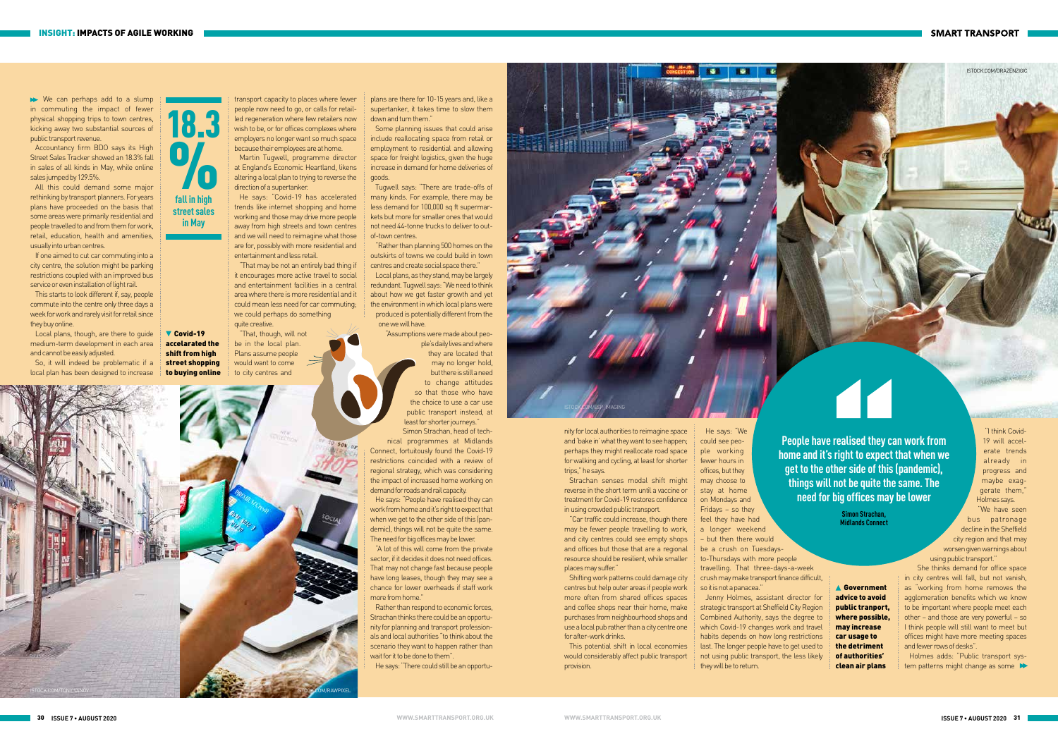transport capacity to places where fewer people now need to go, or calls for retailled regeneration where few retailers now wish to be, or for offices complexes where employers no longer want so much space because their employees are at home.

Martin Tugwell, programme director at England's Economic Heartland, likens altering a local plan to trying to reverse the direction of a supertanker.

plans are there for 10-15 years and, like a supertanker, it takes time to slow them down and turn them."

He says: "Covid-19 has accelerated trends like internet shopping and home working and those may drive more people away from high streets and town centres and we will need to reimagine what those are for, possibly with more residential and entertainment and less retail.

"Rather than planning 500 homes on the outskirts of towns we could build in town centres and create social space there."

"That may be not an entirely bad thing if it encourages more active travel to social and entertainment facilities in a central area where there is more residential and it could mean less need for car commuting; we could perhaps do something quite creative.

"That, though, will not be in the local plan. Plans assume people would want to come

Some planning issues that could arise include reallocating space from retail or employment to residential and allowing space for freight logistics, given the huge increase in demand for home deliveries of goods.

Rather than respond to economic forces, Strachan thinks there could be an opportunity for planning and transport professionals and local authorities "to think about the scenario they want to happen rather than wait for it to be done to them<sup>"</sup>

Tugwell says: "There are trade-offs of many kinds. For example, there may be less demand for 100,000 sq ft supermarkets but more for smaller ones that would not need 44-tonne trucks to deliver to outof-town centres.

Local plans, as they stand, may be largely redundant. Tugwell says: "We need to think about how we get faster growth and yet the environment in which local plans were produced is potentially different from the one we will have.

"Assumptions were made about peo-

Covid-19 accelarated the shift from high street shopping

ple's daily lives and where they are located that may no longer hold, but there is still a need to change attitudes so that those who have the choice to use a car use public transport instead, at least for shorter journeys."

> **▲ Government** advice to avoid public tranport, where possible, may increase car usage to the detriment of authorities' clean air plans

## **SMART TRANSPORT**

Simon Strachan, head of technical programmes at Midlands Connect, fortuitously found the Covid-19 restrictions coincided with a review of regional strategy, which was considering the impact of increased home working on demand for roads and rail capacity.

He says: "People have realised they can work from home and it's right to expect that when we get to the other side of this (pandemic), things will not be quite the same. The need for big offices may be lower.

"A lot of this will come from the private sector, if it decides it does not need offices. That may not change fast because people have long leases, though they may see a chance for lower overheads if staff work more from home."

> Holmes adds: "Public transport system patterns might change as some

We can perhaps add to a slump in commuting the impact of fewer physical shopping trips to town centres, kicking away two substantial sources of public transport revenue.

He says: "There could still be an opportu-

All this could demand some major rethinking by transport planners. For years plans have proceeded on the basis that some areas were primarily residential and people travelled to and from them for work, retail, education, health and amenities, usually into urban centres.

> nity for local authorities to reimagine space and 'bake in' what they want to see happen; perhaps they might reallocate road space for walking and cycling, at least for shorter trips," he says.

If one aimed to cut car commuting into a city centre, the solution might be parking restrictions coupled with an improved bus service or even installation of light rail.

> Strachan senses modal shift might reverse in the short term until a vaccine or treatment for Covid-19 restores confidence in using crowded public transport.

18.3  $\frac{1}{\sqrt{2}}$ 

> "Car traffic could increase, though there may be fewer people travelling to work, and city centres could see empty shops and offices but those that are a regional resource should be resilient, while smaller places may suffer."

Shifting work patterns could damage city centres but help outer areas if people work more often from shared offices spaces and coffee shops near their home, make purchases from neighbourhood shops and use a local pub rather than a city centre one for after-work drinks.

This potential shift in local economies would considerably affect public transport provision.

**People have realised they can work from home and it's right to expect that when we get to the other side of this (pandemic), things will not be quite the same. The need for big offices may be lower**

> **Simon Strachan, Midlands Connect**

could see people working fewer hours in offices, but they may choose to stay at home on Mondays and Fridays – so they

feel they have had a longer weekend – but then there would be a crush on Tuesdaysto-Thursdays with more people travelling. That three-days-a-week crush may make transport finance difficult, so it is not a panacea."

Jenny Holmes, assistant director for strategic transport at Sheffield City Region Combined Authority, says the degree to which Covid-19 changes work and travel habits depends on how long restrictions last. The longer people have to get used to not using public transport, the less likely they will be to return.

"I think Covid-19 will accelerate trends already in progress and maybe exaggerate them," Holmes says.

**ABRARTED STORE** 

"We have seen bus patronage decline in the Sheffield city region and that may worsen given warnings about using public transport."

She thinks demand for office space in city centres will fall, but not vanish, as "working from home removes the agglomeration benefits which we know to be important where people meet each other – and those are very powerful – so I think people will still want to meet but offices might have more meeting spaces and fewer rows of desks".



Accountancy firm BDO says its High Street Sales Tracker showed an 18.3% fall in sales of all kinds in May, while online sales jumped by 129.5%.

This starts to look different if, say, people commute into the centre only three days a week for work and rarely visit for retail since they buy online. Local plans, though, are there to guide

medium-term development in each area and cannot be easily adjusted. So, it will indeed be problematic if a

**fall in high street sales in May**

local plan has been designed to increase to buying online to city centres and  $50k$  OF ISTOCK.COM/TONYIVANOV ISTOCK.COM/RAWPIXEL

ISTOCK.COM/DRAZENZIGIC